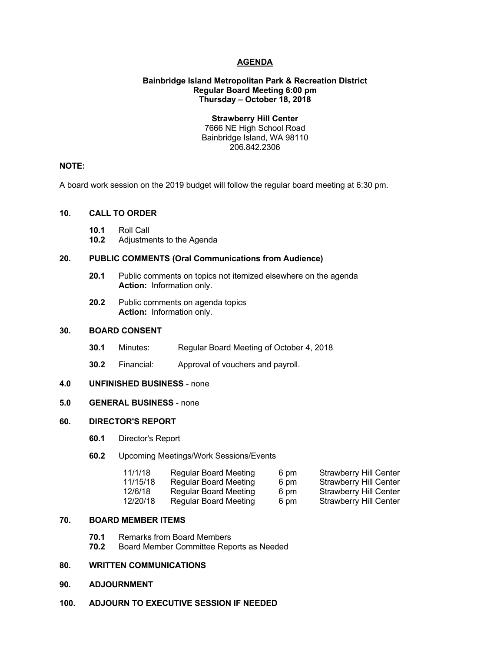## **AGENDA**

### **Bainbridge Island Metropolitan Park & Recreation District Regular Board Meeting 6:00 pm Thursday – October 18, 2018**

## **Strawberry Hill Center**

7666 NE High School Road Bainbridge Island, WA 98110 206.842.2306

#### **NOTE:**

A board work session on the 2019 budget will follow the regular board meeting at 6:30 pm.

## **10. CALL TO ORDER**

- **10.1** Roll Call
- **10.2** Adjustments to the Agenda

## **20. PUBLIC COMMENTS (Oral Communications from Audience)**

- **20.1** Public comments on topics not itemized elsewhere on the agenda **Action:** Information only.
- **20.2** Public comments on agenda topics **Action:** Information only.

## **30. BOARD CONSENT**

- **30.1** Minutes: Regular Board Meeting of October 4, 2018
- **30.2** Financial: Approval of vouchers and payroll.

### **4.0 UNFINISHED BUSINESS** - none

## **5.0 GENERAL BUSINESS** - none

#### **60. DIRECTOR'S REPORT**

- **60.1** Director's Report
- **60.2** Upcoming Meetings/Work Sessions/Events

| 11/1/18  | <b>Regular Board Meeting</b> | 6 pm | <b>Strawberry Hill Center</b> |
|----------|------------------------------|------|-------------------------------|
| 11/15/18 | <b>Regular Board Meeting</b> | 6 pm | <b>Strawberry Hill Center</b> |
| 12/6/18  | <b>Regular Board Meeting</b> | 6 pm | <b>Strawberry Hill Center</b> |
| 12/20/18 | <b>Regular Board Meeting</b> | 6 pm | <b>Strawberry Hill Center</b> |

#### **70. BOARD MEMBER ITEMS**

- **70.1** Remarks from Board Members
- **70.2** Board Member Committee Reports as Needed

# **80. WRITTEN COMMUNICATIONS**

- **90. ADJOURNMENT**
- **100. ADJOURN TO EXECUTIVE SESSION IF NEEDED**